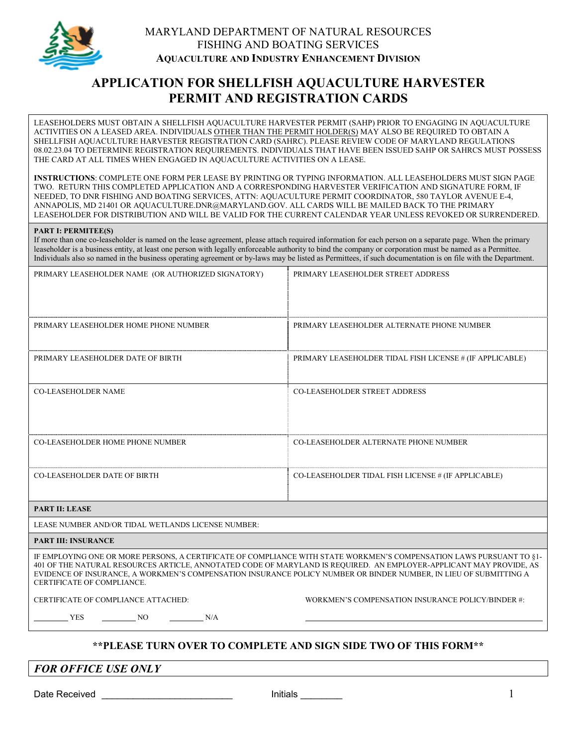

## MARYLAND DEPARTMENT OF NATURAL RESOURCES FISHING AND BOATING SERVICES **AQUACULTURE AND INDUSTRY ENHANCEMENT DIVISION**

# **APPLICATION FOR SHELLFISH AQUACULTURE HARVESTER PERMIT AND REGISTRATION CARDS**

LEASEHOLDERS MUST OBTAIN A SHELLFISH AQUACULTURE HARVESTER PERMIT (SAHP) PRIOR TO ENGAGING IN AQUACULTURE ACTIVITIES ON A LEASED AREA. INDIVIDUALS OTHER THAN THE PERMIT HOLDER(S) MAY ALSO BE REQUIRED TO OBTAIN A SHELLFISH AQUACULTURE HARVESTER REGISTRATION CARD (SAHRC). PLEASE REVIEW CODE OF MARYLAND REGULATIONS 08.02.23.04 TO DETERMINE REGISTRATION REQUIREMENTS. INDIVIDUALS THAT HAVE BEEN ISSUED SAHP OR SAHRCS MUST POSSESS THE CARD AT ALL TIMES WHEN ENGAGED IN AQUACULTURE ACTIVITIES ON A LEASE.

**INSTRUCTIONS**: COMPLETE ONE FORM PER LEASE BY PRINTING OR TYPING INFORMATION. ALL LEASEHOLDERS MUST SIGN PAGE TWO. RETURN THIS COMPLETED APPLICATION AND A CORRESPONDING HARVESTER VERIFICATION AND SIGNATURE FORM, IF NEEDED, TO DNR FISHING AND BOATING SERVICES, ATTN: AQUACULTURE PERMIT COORDINATOR, 580 TAYLOR AVENUE E-4, ANNAPOLIS, MD 21401 OR AQUACULTURE.DNR@MARYLAND.GOV. ALL CARDS WILL BE MAILED BACK TO THE PRIMARY LEASEHOLDER FOR DISTRIBUTION AND WILL BE VALID FOR THE CURRENT CALENDAR YEAR UNLESS REVOKED OR SURRENDERED.

#### **PART I: PERMITEE(S)**

If more than one co-leaseholder is named on the lease agreement, please attach required information for each person on a separate page. When the primary leaseholder is a business entity, at least one person with legally enforceable authority to bind the company or corporation must be named as a Permittee. Individuals also so named in the business operating agreement or by-laws may be listed as Permittees, if such documentation is on file with the Department.

| PRIMARY LEASEHOLDER NAME (OR AUTHORIZED SIGNATORY)                                                                                                                                                                                                                                                                                                                                             | PRIMARY LEASEHOLDER STREET ADDRESS                       |  |
|------------------------------------------------------------------------------------------------------------------------------------------------------------------------------------------------------------------------------------------------------------------------------------------------------------------------------------------------------------------------------------------------|----------------------------------------------------------|--|
|                                                                                                                                                                                                                                                                                                                                                                                                |                                                          |  |
| PRIMARY LEASEHOLDER HOME PHONE NUMBER                                                                                                                                                                                                                                                                                                                                                          | PRIMARY LEASEHOLDER ALTERNATE PHONE NUMBER               |  |
| PRIMARY LEASEHOLDER DATE OF BIRTH                                                                                                                                                                                                                                                                                                                                                              | PRIMARY LEASEHOLDER TIDAL FISH LICENSE # (IF APPLICABLE) |  |
| <b>CO-LEASEHOLDER NAME</b>                                                                                                                                                                                                                                                                                                                                                                     | <b>CO-LEASEHOLDER STREET ADDRESS</b>                     |  |
|                                                                                                                                                                                                                                                                                                                                                                                                |                                                          |  |
| <b>CO-LEASEHOLDER HOME PHONE NUMBER</b>                                                                                                                                                                                                                                                                                                                                                        | CO-LEASEHOLDER ALTERNATE PHONE NUMBER                    |  |
| <b>CO-LEASEHOLDER DATE OF BIRTH</b>                                                                                                                                                                                                                                                                                                                                                            | CO-LEASEHOLDER TIDAL FISH LICENSE # (IF APPLICABLE)      |  |
| <b>PART II: LEASE</b>                                                                                                                                                                                                                                                                                                                                                                          |                                                          |  |
| LEASE NUMBER AND/OR TIDAL WETLANDS LICENSE NUMBER:                                                                                                                                                                                                                                                                                                                                             |                                                          |  |
| <b>PART III: INSURANCE</b>                                                                                                                                                                                                                                                                                                                                                                     |                                                          |  |
| IF EMPLOYING ONE OR MORE PERSONS, A CERTIFICATE OF COMPLIANCE WITH STATE WORKMEN'S COMPENSATION LAWS PURSUANT TO §1-<br>401 OF THE NATURAL RESOURCES ARTICLE, ANNOTATED CODE OF MARYLAND IS REOUIRED. AN EMPLOYER-APPLICANT MAY PROVIDE, AS<br>EVIDENCE OF INSURANCE, A WORKMEN'S COMPENSATION INSURANCE POLICY NUMBER OR BINDER NUMBER, IN LIEU OF SUBMITTING A<br>CERTIFICATE OF COMPLIANCE. |                                                          |  |
| CERTIFICATE OF COMPLIANCE ATTACHED:                                                                                                                                                                                                                                                                                                                                                            | WORKMEN'S COMPENSATION INSURANCE POLICY/BINDER #:        |  |

### **\*\*PLEASE TURN OVER TO COMPLETE AND SIGN SIDE TWO OF THIS FORM\*\***

*FOR OFFICE USE ONLY* 

YES NO N/A